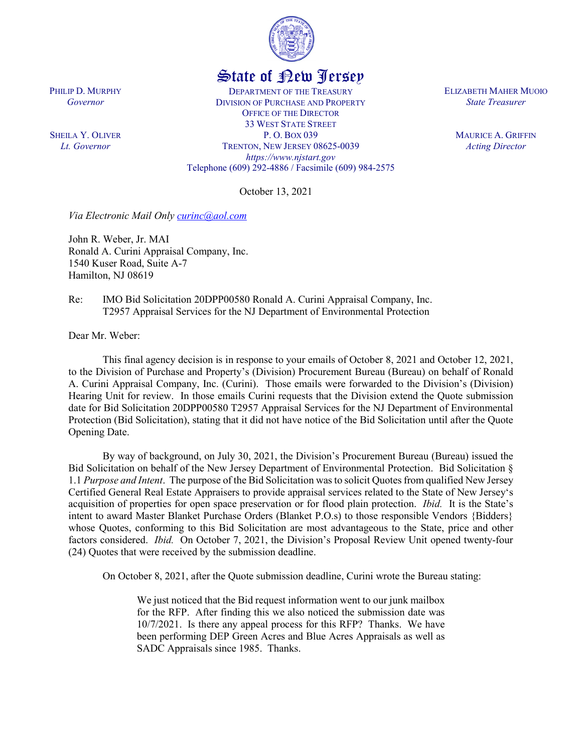

## State of New Jersey

DEPARTMENT OF THE TREASURY DIVISION OF PURCHASE AND PROPERTY OFFICE OF THE DIRECTOR 33 WEST STATE STREET P. O. BOX 039 TRENTON, NEW JERSEY 08625-0039 *https://www.njstart.gov* Telephone (609) 292-4886 / Facsimile (609) 984-2575

October 13, 2021

*Via Electronic Mail Only [curinc@aol.com](mailto:curinc@aol.com)*

John R. Weber, Jr. MAI Ronald A. Curini Appraisal Company, Inc. 1540 Kuser Road, Suite A-7 Hamilton, NJ 08619

Re: IMO Bid Solicitation 20DPP00580 Ronald A. Curini Appraisal Company, Inc. T2957 Appraisal Services for the NJ Department of Environmental Protection

Dear Mr. Weber:

PHILIP D. MURPHY *Governor*

SHEILA Y. OLIVER *Lt. Governor*

> This final agency decision is in response to your emails of October 8, 2021 and October 12, 2021, to the Division of Purchase and Property's (Division) Procurement Bureau (Bureau) on behalf of Ronald A. Curini Appraisal Company, Inc. (Curini). Those emails were forwarded to the Division's (Division) Hearing Unit for review. In those emails Curini requests that the Division extend the Quote submission date for Bid Solicitation 20DPP00580 T2957 Appraisal Services for the NJ Department of Environmental Protection (Bid Solicitation), stating that it did not have notice of the Bid Solicitation until after the Quote Opening Date.

> By way of background, on July 30, 2021, the Division's Procurement Bureau (Bureau) issued the Bid Solicitation on behalf of the New Jersey Department of Environmental Protection. Bid Solicitation § 1.1 *Purpose and Intent*. The purpose of the Bid Solicitation was to solicit Quotes from qualified New Jersey Certified General Real Estate Appraisers to provide appraisal services related to the State of New Jersey's acquisition of properties for open space preservation or for flood plain protection. *Ibid.* It is the State's intent to award Master Blanket Purchase Orders (Blanket P.O.s) to those responsible Vendors {Bidders} whose Quotes, conforming to this Bid Solicitation are most advantageous to the State, price and other factors considered. *Ibid.* On October 7, 2021, the Division's Proposal Review Unit opened twenty-four (24) Quotes that were received by the submission deadline.

On October 8, 2021, after the Quote submission deadline, Curini wrote the Bureau stating:

We just noticed that the Bid request information went to our junk mailbox for the RFP. After finding this we also noticed the submission date was 10/7/2021. Is there any appeal process for this RFP? Thanks. We have been performing DEP Green Acres and Blue Acres Appraisals as well as SADC Appraisals since 1985. Thanks.

ELIZABETH MAHER MUOIO *State Treasurer*

> MAURICE A. GRIFFIN *Acting Director*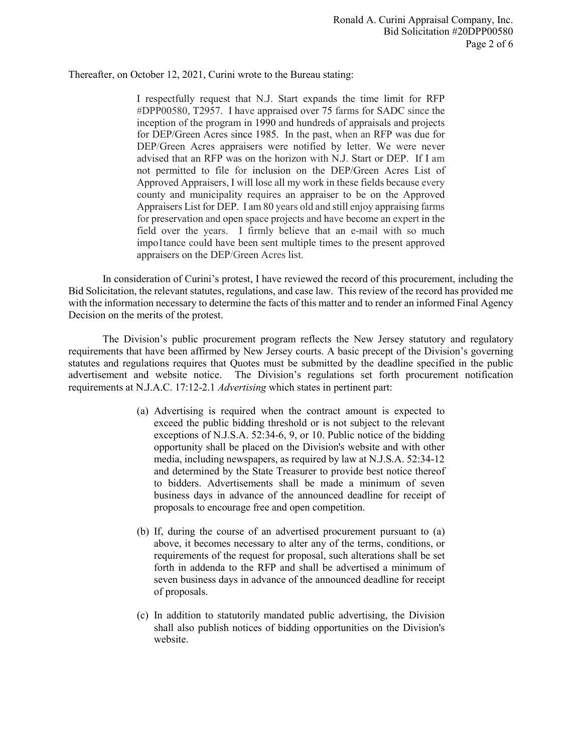Thereafter, on October 12, 2021, Curini wrote to the Bureau stating:

I respectfully request that N.J. Start expands the time limit for RFP #DPP00580, T2957. I have appraised over 75 farms for SADC since the inception of the program in 1990 and hundreds of appraisals and projects for DEP/Green Acres since 1985. In the past, when an RFP was due for DEP/Green Acres appraisers were notified by letter. We were never advised that an RFP was on the horizon with N.J. Start or DEP. If I am not permitted to file for inclusion on the DEP/Green Acres List of Approved Appraisers, I will lose all my work in these fields because every county and municipality requires an appraiser to be on the Approved Appraisers List for DEP. I am 80 years old and still enjoy appraising farms for preservation and open space projects and have become an expert in the field over the years. I firmly believe that an e-mail with so much impo1tance could have been sent multiple times to the present approved appraisers on the DEP/Green Acres list.

In consideration of Curini's protest, I have reviewed the record of this procurement, including the Bid Solicitation, the relevant statutes, regulations, and case law. This review of the record has provided me with the information necessary to determine the facts of this matter and to render an informed Final Agency Decision on the merits of the protest.

The Division's public procurement program reflects the New Jersey statutory and regulatory requirements that have been affirmed by New Jersey courts. A basic precept of the Division's governing statutes and regulations requires that Quotes must be submitted by the deadline specified in the public advertisement and website notice. The Division's regulations set forth procurement notification requirements at N.J.A.C. 17:12-2.1 *Advertising* which states in pertinent part:

- (a) Advertising is required when the contract amount is expected to exceed the public bidding threshold or is not subject to the relevant exceptions of N.J.S.A. 52:34-6, 9, or 10. Public notice of the bidding opportunity shall be placed on the Division's website and with other media, including newspapers, as required by law at N.J.S.A. 52:34-12 and determined by the State Treasurer to provide best notice thereof to bidders. Advertisements shall be made a minimum of seven business days in advance of the announced deadline for receipt of proposals to encourage free and open competition.
- (b) If, during the course of an advertised procurement pursuant to (a) above, it becomes necessary to alter any of the terms, conditions, or requirements of the request for proposal, such alterations shall be set forth in addenda to the RFP and shall be advertised a minimum of seven business days in advance of the announced deadline for receipt of proposals.
- (c) In addition to statutorily mandated public advertising, the Division shall also publish notices of bidding opportunities on the Division's website.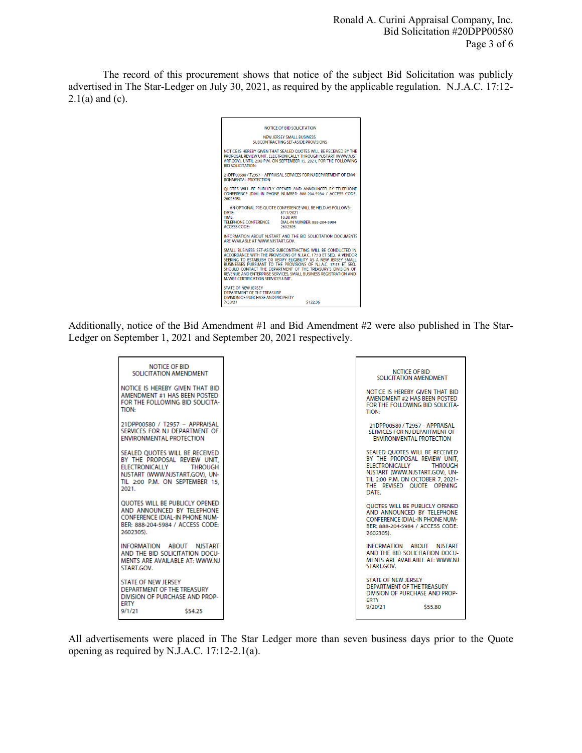Ronald A. Curini Appraisal Company, Inc. Bid Solicitation #20DPP00580 Page 3 of 6

The record of this procurement shows that notice of the subject Bid Solicitation was publicly advertised in The Star-Ledger on July 30, 2021, as required by the applicable regulation. N.J.A.C. 17:12-  $2.1(a)$  and (c).



Additionally, notice of the Bid Amendment #1 and Bid Amendment #2 were also published in The Star-Ledger on September 1, 2021 and September 20, 2021 respectively.

| NOTICE OF BID<br>SOLICITATION AMENDMENT<br>NOTICE IS HEREBY GIVEN THAT BID<br>AMENDMENT #1 HAS BEEN POSTED<br>FOR THE FOLLOWING BID SOLICITA-<br><b>TION:</b>                          | <b>NOTICE OF BID</b><br>SOLICITATION AMENDMENT<br>NOTICE IS HEREBY GIVEN THAT BID<br>AMENDMENT #2 HAS BEEN POSTED<br>FOR THE FOLLOWING BID SOLICITA-<br><b>TION:</b>                                                   |
|----------------------------------------------------------------------------------------------------------------------------------------------------------------------------------------|------------------------------------------------------------------------------------------------------------------------------------------------------------------------------------------------------------------------|
| 21DPP00580 / T2957 - APPRAISAL<br>SERVICES FOR NJ DEPARTMENT OF<br>ENVIRONMENTAL PROTECTION                                                                                            | 21DPP00580 / T2957 - APPRAISAL<br>SERVICES FOR NJ DEPARTMENT OF<br><b>ENVIRONMENTAL PROTECTION</b>                                                                                                                     |
| SEALED OUOTES WILL BE RECEIVED<br>BY THE PROPOSAL REVIEW UNIT.<br><b>ELECTRONICALLY</b><br><b>THROUGH</b><br>NJSTART (WWW.NJSTART.GOV). UN-<br>TIL 2:00 P.M. ON SEPTEMBER 15.<br>2021. | SEALED OUOTES WILL BE RECEIVED<br>BY THE PROPOSAL REVIEW UNIT.<br><b>ELECTRONICALLY</b><br><b>THROUGH</b><br>NJSTART (WWW.NJSTART.GOV). UN-<br>TIL 2:00 P.M. ON OCTOBER 7. 2021-<br>THE REVISED OUOTE OPENING<br>DATE. |
| <b>OUOTES WILL BE PUBLICLY OPENED</b><br>AND ANNOUNCED BY TELEPHONE<br><b>CONFERENCE (DIAL-IN PHONE NUM-</b><br>BER: 888-204-5984 / ACCESS CODE:<br>2602305).                          | <b>OUOTES WILL BE PUBLICLY OPENED</b><br>AND ANNOUNCED BY TELEPHONE<br><b>CONFERENCE (DIAL-IN PHONE NUM-</b><br>RFR: 888-204-5984 / ACCESS CODE:<br>2602305).                                                          |
| INFORMATION ABOUT NJSTART<br>AND THE BID SOLICITATION DOCU-<br>MENTS ARE AVAILABLE AT: WWW.NJ<br>START.GOV.                                                                            | INFORMATION ABOUT NJSTART<br>AND THE BID SOLICITATION DOCU-<br>MENTS ARE AVAILABLE AT: WWW.NJ<br>START.GOV.                                                                                                            |
| <b>STATE OF NEW JERSEY</b><br>DEPARTMENT OF THE TREASURY<br>DIVISION OF PURCHASE AND PROP-<br>ERTY<br>9/1/21<br>\$54.25                                                                | <b>STATE OF NEW JERSEY</b><br>DEPARTMENT OF THE TREASURY.<br>DIVISION OF PURCHASE AND PROP-<br><b>FRTY</b><br>9/20/21<br>\$55.80                                                                                       |

All advertisements were placed in The Star Ledger more than seven business days prior to the Quote opening as required by N.J.A.C. 17:12-2.1(a).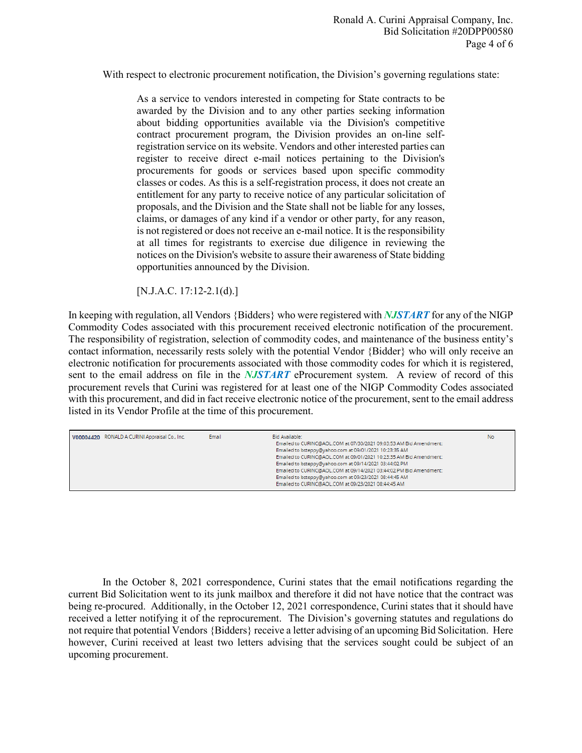With respect to electronic procurement notification, the Division's governing regulations state:

As a service to vendors interested in competing for State contracts to be awarded by the Division and to any other parties seeking information about bidding opportunities available via the Division's competitive contract procurement program, the Division provides an on-line selfregistration service on its website. Vendors and other interested parties can register to receive direct e-mail notices pertaining to the Division's procurements for goods or services based upon specific commodity classes or codes. As this is a self-registration process, it does not create an entitlement for any party to receive notice of any particular solicitation of proposals, and the Division and the State shall not be liable for any losses, claims, or damages of any kind if a vendor or other party, for any reason, is not registered or does not receive an e-mail notice. It is the responsibility at all times for registrants to exercise due diligence in reviewing the notices on the Division's website to assure their awareness of State bidding opportunities announced by the Division.

[N.J.A.C. 17:12-2.1(d).]

In keeping with regulation, all Vendors {Bidders} who were registered with *NJSTART* for any of the NIGP Commodity Codes associated with this procurement received electronic notification of the procurement. The responsibility of registration, selection of commodity codes, and maintenance of the business entity's contact information, necessarily rests solely with the potential Vendor {Bidder} who will only receive an electronic notification for procurements associated with those commodity codes for which it is registered, sent to the email address on file in the *NJSTART* eProcurement system. A review of record of this procurement revels that Curini was registered for at least one of the NIGP Commodity Codes associated with this procurement, and did in fact receive electronic notice of the procurement, sent to the email address listed in its Vendor Profile at the time of this procurement.

| V00004420 RONALD A CURINI Appraisal Co., Inc. | Email | Bid Available:                                                     | No. |
|-----------------------------------------------|-------|--------------------------------------------------------------------|-----|
|                                               |       | Emailed to CURINC@AOL.COM at 07/30/2021 09:03:53 AM Bid Amendment: |     |
|                                               |       | Emailed to bsteppy@yahoo.com at 09/01/2021 10:23:35 AM             |     |
|                                               |       | Emailed to CURINC@AOL.COM at 09/01/2021 10:23:35 AM Bid Amendment: |     |
|                                               |       | Emailed to bsteppy@yahoo.com at 09/14/2021 03:44:02 PM             |     |
|                                               |       | Emailed to CURINC@AOL.COM at 09/14/2021 03:44:02 PM Bid Amendment: |     |
|                                               |       | Emailed to bsteppy@yahoo.com at 09/23/2021 08:44:45 AM             |     |
|                                               |       | Emailed to CURINC@AOL.COM at 09/23/2021 08:44:45 AM                |     |
|                                               |       |                                                                    |     |

 In the October 8, 2021 correspondence, Curini states that the email notifications regarding the current Bid Solicitation went to its junk mailbox and therefore it did not have notice that the contract was being re-procured. Additionally, in the October 12, 2021 correspondence, Curini states that it should have received a letter notifying it of the reprocurement. The Division's governing statutes and regulations do not require that potential Vendors {Bidders} receive a letter advising of an upcoming Bid Solicitation. Here however, Curini received at least two letters advising that the services sought could be subject of an upcoming procurement.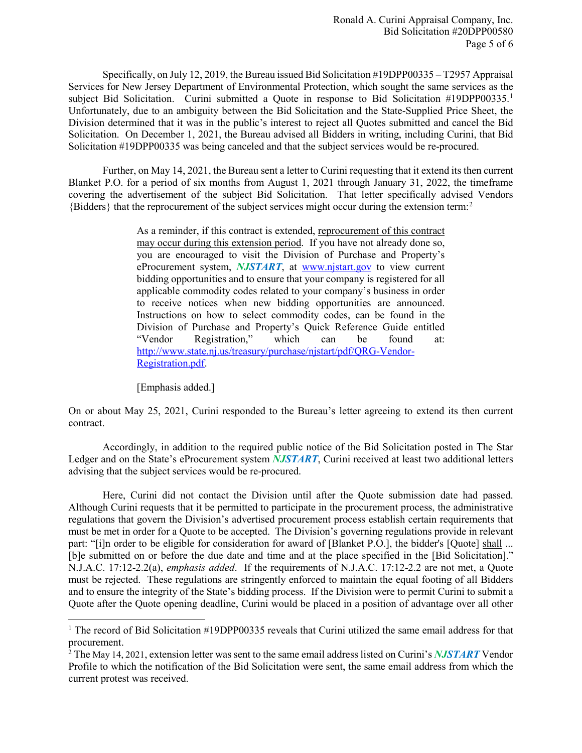Specifically, on July 12, 2019, the Bureau issued Bid Solicitation #19DPP00335 – T2957 Appraisal Services for New Jersey Department of Environmental Protection, which sought the same services as the subject Bid Solicitation. Curini submitted a Quote in response to Bid Solicitation #[1](#page-4-0)9DPP00335.<sup>1</sup> Unfortunately, due to an ambiguity between the Bid Solicitation and the State-Supplied Price Sheet, the Division determined that it was in the public's interest to reject all Quotes submitted and cancel the Bid Solicitation. On December 1, 2021, the Bureau advised all Bidders in writing, including Curini, that Bid Solicitation #19DPP00335 was being canceled and that the subject services would be re-procured.

Further, on May 14, 2021, the Bureau sent a letter to Curini requesting that it extend its then current Blanket P.O. for a period of six months from August 1, 2021 through January 31, 2022, the timeframe covering the advertisement of the subject Bid Solicitation. That letter specifically advised Vendors {Bidders} that the reprocurement of the subject services might occur during the extension term: [2](#page-4-1)

> As a reminder, if this contract is extended, reprocurement of this contract may occur during this extension period. If you have not already done so, you are encouraged to visit the Division of Purchase and Property's eProcurement system, *NJSTART*, at [www.njstart.gov](http://www.njstart.gov/) to view current bidding opportunities and to ensure that your company is registered for all applicable commodity codes related to your company's business in order to receive notices when new bidding opportunities are announced. Instructions on how to select commodity codes, can be found in the Division of Purchase and Property's Quick Reference Guide entitled "Vendor Registration," which can be found at: [http://www.state.nj.us/treasury/purchase/njstart/pdf/QRG-Vendor-](http://www.state.nj.us/treasury/purchase/njstart/pdf/QRG-Vendor-Registration.pdf)[Registration.pdf.](http://www.state.nj.us/treasury/purchase/njstart/pdf/QRG-Vendor-Registration.pdf)

[Emphasis added.]

l

On or about May 25, 2021, Curini responded to the Bureau's letter agreeing to extend its then current contract.

Accordingly, in addition to the required public notice of the Bid Solicitation posted in The Star Ledger and on the State's eProcurement system *NJSTART*, Curini received at least two additional letters advising that the subject services would be re-procured.

Here, Curini did not contact the Division until after the Quote submission date had passed. Although Curini requests that it be permitted to participate in the procurement process, the administrative regulations that govern the Division's advertised procurement process establish certain requirements that must be met in order for a Quote to be accepted. The Division's governing regulations provide in relevant part: "[i]n order to be eligible for consideration for award of [Blanket P.O.], the bidder's [Quote] shall ... [b]e submitted on or before the due date and time and at the place specified in the [Bid Solicitation]." N.J.A.C. 17:12-2.2(a), *emphasis added*. If the requirements of N.J.A.C. 17:12-2.2 are not met, a Quote must be rejected. These regulations are stringently enforced to maintain the equal footing of all Bidders and to ensure the integrity of the State's bidding process. If the Division were to permit Curini to submit a Quote after the Quote opening deadline, Curini would be placed in a position of advantage over all other

<span id="page-4-0"></span><sup>&</sup>lt;sup>1</sup> The record of Bid Solicitation  $\#19DPP00335$  reveals that Curini utilized the same email address for that procurement.

<span id="page-4-1"></span><sup>&</sup>lt;sup>2</sup> The May 14, 2021, extension letter was sent to the same email address listed on Curini's *NJSTART* Vendor Profile to which the notification of the Bid Solicitation were sent, the same email address from which the current protest was received.